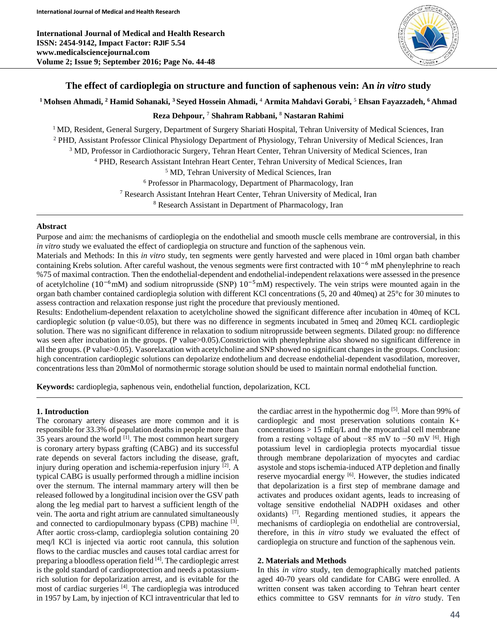

## **The effect of cardioplegia on structure and function of saphenous vein: An** *in vitro* **study**

# **<sup>1</sup>Mohsen Ahmadi, <sup>2</sup> Hamid Sohanaki, <sup>3</sup>Seyed Hossein Ahmadi, <sup>4</sup> Armita Mahdavi Gorabi, <sup>5</sup> Ehsan Fayazzadeh, <sup>6</sup> Ahmad**

**Reza Dehpour, <sup>7</sup> Shahram Rabbani, <sup>8</sup> Nastaran Rahimi**

<sup>1</sup> MD, Resident, General Surgery, Department of Surgery Shariati Hospital, Tehran University of Medical Sciences, Iran PHD, Assistant Professor Clinical Physiology Department of Physiology, Tehran University of Medical Sciences, Iran MD, Professor in Cardiothoracic Surgery, Tehran Heart Center, Tehran University of Medical Sciences, Iran PHD, Research Assistant Intehran Heart Center, Tehran University of Medical Sciences, Iran MD, Tehran University of Medical Sciences, Iran Professor in Pharmacology, Department of Pharmacology, Iran Research Assistant Intehran Heart Center, Tehran University of Medical, Iran

<sup>8</sup> Research Assistant in Department of Pharmacology, Iran

#### **Abstract**

Purpose and aim: the mechanisms of cardioplegia on the endothelial and smooth muscle cells membrane are controversial, in this *in vitro* study we evaluated the effect of cardioplegia on structure and function of the saphenous vein.

Materials and Methods: In this *in vitro* study, ten segments were gently harvested and were placed in 10ml organ bath chamber containing Krebs solution. After careful washout, the venous segments were first contracted with  $10^{-6}$  mM phenylephrine to reach %75 of maximal contraction. Then the endothelial-dependent and endothelial-independent relaxations were assessed in the presence of acetylcholine ( $10^{-6}$ mM) and sodium nitroprusside (SNP)  $10^{-5}$ mM) respectively. The vein strips were mounted again in the organ bath chamber contained cardioplegia solution with different KCl concentrations (5, 20 and 40meq) at 25°c for 30 minutes to assess contraction and relaxation response just right the procedure that previously mentioned.

Results: Endothelium-dependent relaxation to acetylcholine showed the significant difference after incubation in 40meq of KCL cardioplegic solution (p value<0.05), but there was no difference in segments incubated in 5meq and 20meq KCL cardioplegic solution. There was no significant difference in relaxation to sodium nitroprusside between segments. Dilated group: no difference was seen after incubation in the groups. (P value>0.05).Constriction with phenylephrine also showed no significant difference in all the groups. (P value>0.05). Vasorelaxation with acetylcholine and SNP showed no significant changes in the groups. Conclusion: high concentration cardioplegic solutions can depolarize endothelium and decrease endothelial-dependent vasodilation, moreover, concentrations less than 20mMol of normothermic storage solution should be used to maintain normal endothelial function.

**Keywords:** cardioplegia, saphenous vein, endothelial function, depolarization, KCL

### **1. Introduction**

The coronary artery diseases are more common and it is responsible for 33.3% of population deaths in people more than 35 years around the world  $[1]$ . The most common heart surgery is coronary artery bypass grafting (CABG) and its successful rate depends on several factors including the disease, graft, injury during operation and ischemia-reperfusion injury [2] . A typical CABG is usually performed through a midline incision over the sternum. The internal mammary artery will then be released followed by a longitudinal incision over the GSV path along the leg medial part to harvest a sufficient length of the vein. The aorta and right atrium are cannulated simultaneously and connected to cardiopulmonary bypass (CPB) machine <sup>[3]</sup>. After aortic cross-clamp, cardioplegia solution containing 20 meq/l KCl is injected via aortic root cannula, this solution flows to the cardiac muscles and causes total cardiac arrest for preparing a bloodless operation field [4]. The cardioplegic arrest is the gold standard of cardioprotection and needs a potassiumrich solution for depolarization arrest, and is evitable for the most of cardiac surgeries [4] . The cardioplegia was introduced in 1957 by Lam, by injection of KCl intraventricular that led to

the cardiac arrest in the hypothermic dog  $[5]$ . More than 99% of cardioplegic and most preservation solutions contain K+ concentrations  $> 15$  mEq/L and the myocardial cell membrane from a resting voltage of about -85 mV to -50 mV <sup>[6]</sup>. High potassium level in cardioplegia protects myocardial tissue through membrane depolarization of myocytes and cardiac asystole and stops ischemia-induced ATP depletion and finally reserve myocardial energy [6]. However, the studies indicated that depolarization is a first step of membrane damage and activates and produces oxidant agents, leads to increasing of voltage sensitive endothelial NADPH oxidases and other oxidants) <sup>[7]</sup>. Regarding mentioned studies, it appears the mechanisms of cardioplegia on endothelial are controversial, therefore, in this *in vitro* study we evaluated the effect of cardioplegia on structure and function of the saphenous vein.

### **2. Materials and Methods**

In this *in vitro* study, ten demographically matched patients aged 40-70 years old candidate for CABG were enrolled. A written consent was taken according to Tehran heart center ethics committee to GSV remnants for *in vitro* study. Ten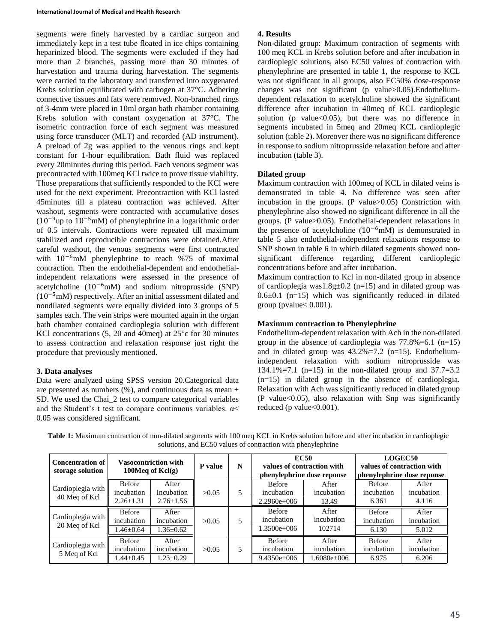segments were finely harvested by a cardiac surgeon and immediately kept in a test tube floated in ice chips containing heparinized blood. The segments were excluded if they had more than 2 branches, passing more than 30 minutes of harvestation and trauma during harvestation. The segments were carried to the laboratory and transferred into oxygenated Krebs solution equilibrated with carbogen at 37°C. Adhering connective tissues and fats were removed. Non-branched rings of 3-4mm were placed in 10ml organ bath chamber containing Krebs solution with constant oxygenation at 37°C. The isometric contraction force of each segment was measured using force transducer (MLT) and recorded (AD instrument). A preload of 2g was applied to the venous rings and kept constant for 1-hour equilibration. Bath fluid was replaced every 20minutes during this period. Each venous segment was precontracted with 100meq KCl twice to prove tissue viability. Those preparations that sufficiently responded to the KCl were used for the next experiment. Precontraction with KCl lasted 45minutes till a plateau contraction was achieved. After washout, segments were contracted with accumulative doses  $(10^{-9}$ up to  $10^{-5}$ mM) of phenylephrine in a logarithmic order of 0.5 intervals. Contractions were repeated till maximum stabilized and reproducible contractions were obtained.After careful washout, the venous segments were first contracted with 10−6mM phenylephrine to reach %75 of maximal contraction. Then the endothelial-dependent and endothelialindependent relaxations were assessed in the presence of acetylcholine (10−6mM) and sodium nitroprusside (SNP)  $(10^{-5}$ mM) respectively. After an initial assessment dilated and nondilated segments were equally divided into 3 groups of 5 samples each. The vein strips were mounted again in the organ bath chamber contained cardioplegia solution with different KCl concentrations (5, 20 and 40meq) at 25°c for 30 minutes to assess contraction and relaxation response just right the procedure that previously mentioned.

### **3. Data analyses**

Data were analyzed using SPSS version 20.Categorical data are presented as numbers  $(\% )$ , and continuous data as mean  $\pm$ SD. We used the Chai\_2 test to compare categorical variables and the Student's t test to compare continuous variables. α< 0.05 was considered significant.

#### **4. Results**

Non-dilated group: Maximum contraction of segments with 100 meq KCL in Krebs solution before and after incubation in cardioplegic solutions, also EC50 values of contraction with phenylephrine are presented in table 1, the response to KCL was not significant in all groups, also EC50% dose-response changes was not significant (p value>0.05).Endotheliumdependent relaxation to acetylcholine showed the significant difference after incubation in 40meq of KCL cardioplegic solution (p value $<0.05$ ), but there was no difference in segments incubated in 5meq and 20meq KCL cardioplegic solution (table 2). Moreover there was no significant difference in response to sodium nitroprusside relaxation before and after incubation (table 3).

#### **Dilated group**

Maximum contraction with 100meq of KCL in dilated veins is demonstrated in table 4. No difference was seen after incubation in the groups. (P value>0.05) Constriction with phenylephrine also showed no significant difference in all the groups. (P value>0.05). Endothelial-dependent relaxations in the presence of acetylcholine (10−6mM) is demonstrated in table 5 also endothelial-independent relaxations response to SNP shown in table 6 in which dilated segments showed nonsignificant difference regarding different cardioplegic concentrations before and after incubation.

Maximum contraction to Kcl in non-dilated group in absence of cardioplegia was1.8g $\pm$ 0.2 (n=15) and in dilated group was  $0.6\pm0.1$  (n=15) which was significantly reduced in dilated group (pvalue $< 0.001$ ).

#### **Maximum contraction to Phenylephrine**

Endothelium-dependent relaxation with Ach in the non-dilated group in the absence of cardioplegia was  $77.8\% = 6.1$  (n=15) and in dilated group was 43.2%=7.2 (n=15). Endotheliumindependent relaxation with sodium nitroprusside was 134.1%=7.1 (n=15) in the non-dilated group and  $37.7=3.2$ (n=15) in dilated group in the absence of cardioplegia. Relaxation with Ach was significantly reduced in dilated group  $(P$  value $<0.05$ ), also relaxation with Snp was significantly reduced (p value $<0.001$ ).

| <b>Concentration of</b><br>storage solution | Vasocontriction with<br>100Meq of $Kcl(g)$     |                                        | P value | N | <b>EC50</b><br>values of contraction with<br>phenylephrine dose reponse |                                      | <b>LOGEC50</b><br>values of contraction with<br>phenylephrine dose reponse |                              |
|---------------------------------------------|------------------------------------------------|----------------------------------------|---------|---|-------------------------------------------------------------------------|--------------------------------------|----------------------------------------------------------------------------|------------------------------|
| Cardioplegia with<br>40 Meq of Kcl          | <b>Before</b><br>incubation<br>$2.26 \pm 1.31$ | After<br>Incubation<br>$2.76 \pm 1.56$ | >0.05   | 5 | <b>Before</b><br>incubation<br>$2.2960e+006$                            | After<br>incubation<br>13.49         | <b>Before</b><br>incubation<br>6.361                                       | After<br>incubation<br>4.116 |
| Cardioplegia with<br>20 Meq of Kcl          | Before<br>incubation<br>$1.46 \pm 0.64$        | After<br>incubation<br>$1.36 \pm 0.62$ | >0.05   | 5 | <b>Before</b><br>incubation<br>1.3500e+006                              | After<br>incubation<br>102714        | <b>Before</b><br>incubation<br>6.130                                       | After<br>incubation<br>5.012 |
| Cardioplegia with<br>5 Meq of Kcl           | Before<br>incubation<br>$1.44 \pm 0.45$        | After<br>incubation<br>$1.23 \pm 0.29$ | >0.05   | 5 | <b>Before</b><br>incubation<br>$9.4350e+006$                            | After<br>incubation<br>$1.6080e+006$ | <b>Before</b><br>incubation<br>6.975                                       | After<br>incubation<br>6.206 |

**Table 1:** Maximum contraction of non-dilated segments with 100 meq KCL in Krebs solution before and after incubation in cardioplegic solutions, and EC50 values of contraction with phenylephrine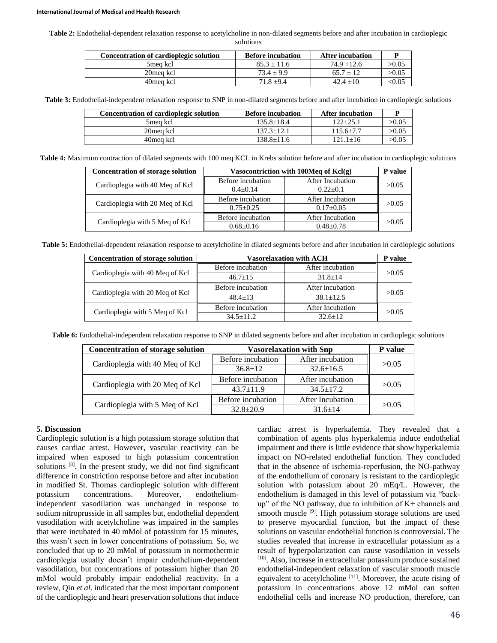**Table 2:** Endothelial-dependent relaxation response to acetylcholine in non-dilated segments before and after incubation in cardioplegic solutions

| Concentration of cardioplegic solution | <b>Before incubation</b> | <b>After incubation</b> |               |
|----------------------------------------|--------------------------|-------------------------|---------------|
| 5mea kcl                               | $85.3 + 11.6$            | $74.9 + 12.6$           | >0.05         |
| 20mea kcl                              | $73.4 + 9.9$             | $65.7 + 12$             | >0.05         |
| 40 mea kcl                             | $71.8 + 9.4$             | $42.4 + 10$             | $< \!\! 0.05$ |

**Table 3:** Endothelial-independent relaxation response to SNP in non-dilated segments before and after incubation in cardioplegic solutions

| Concentration of cardioplegic solution | <b>Before incubation</b> | <b>After incubation</b> |       |
|----------------------------------------|--------------------------|-------------------------|-------|
| 5mea kcl                               | $135.8 + 18.4$           | $122 + 25.1$            | >0.05 |
| 20 meg kcl                             | $137.3 + 12.1$           | $115.6 + 7.7$           | >0.05 |
| 40 mea kcl                             | 138.8+11.6               | $121.1 + 16$            | >0.05 |

**Table 4:** Maximum contraction of dilated segments with 100 meq KCL in Krebs solution before and after incubation in cardioplegic solutions

| <b>Concentration of storage solution</b> | Vasocontriction with 100Meq of $Kcl(g)$ |                  |       |  |
|------------------------------------------|-----------------------------------------|------------------|-------|--|
|                                          | Before incubation                       | After Incubation |       |  |
| Cardioplegia with 40 Meq of Kcl          | $0.4 + 0.14$                            | $0.22+0.1$       | >0.05 |  |
|                                          | Before incubation                       | After Incubation | >0.05 |  |
| Cardioplegia with 20 Meq of Kcl          | $0.75 \pm 0.25$                         | $0.17 \pm 0.05$  |       |  |
|                                          | Before incubation                       | After Incubation | >0.05 |  |
| Cardioplegia with 5 Meq of Kcl           | $0.68 \pm 0.16$                         | $0.48 + 0.78$    |       |  |

**Table 5:** Endothelial-dependent relaxation response to acetylcholine in dilated segments before and after incubation in cardioplegic solutions

| Concentration of storage solution | <b>Vasorelaxation with ACH</b> |                  |       |  |
|-----------------------------------|--------------------------------|------------------|-------|--|
| Cardioplegia with 40 Meq of Kcl   | Before incubation              | After incubation |       |  |
|                                   | $46.7+15$                      | $31.8 + 14$      | >0.05 |  |
|                                   | Before incubation              | After incubation | >0.05 |  |
| Cardioplegia with 20 Meq of Kcl   | $48.4 + 13$                    | $38.1 + 12.5$    |       |  |
| Cardioplegia with 5 Meq of Kcl    | Before incubation              | After Incubation | >0.05 |  |
|                                   | $34.5 + 11.2$                  | $32.6 + 12$      |       |  |

**Table 6:** Endothelial-independent relaxation response to SNP in dilated segments before and after incubation in cardioplegic solutions

| <b>Concentration of storage solution</b> | <b>Vasorelaxation with Snp</b> | P value          |       |  |
|------------------------------------------|--------------------------------|------------------|-------|--|
| Cardioplegia with 40 Meq of Kcl          | Before incubation              | After incubation | >0.05 |  |
|                                          | $36.8 \pm 12$                  | $32.6 \pm 16.5$  |       |  |
| Cardioplegia with 20 Meq of Kcl          | Before incubation              | After incubation | >0.05 |  |
|                                          | $43.7 \pm 11.9$                | $34.5 \pm 17.2$  |       |  |
| Cardioplegia with 5 Meq of Kcl           | Before incubation              | After Incubation | >0.05 |  |
|                                          | $32.8 \pm 20.9$                | $31.6 + 14$      |       |  |

#### **5. Discussion**

Cardioplegic solution is a high potassium storage solution that causes cardiac arrest. However, vascular reactivity can be impaired when exposed to high potassium concentration solutions  $[8]$ . In the present study, we did not find significant difference in constriction response before and after incubation in modified St. Thomas cardioplegic solution with different potassium concentrations. Moreover, endotheliumindependent vasodilation was unchanged in response to sodium nitroprusside in all samples but, endothelial dependent vasodilation with acetylcholine was impaired in the samples that were incubated in 40 mMol of potassium for 15 minutes, this wasn't seen in lower concentrations of potassium. So, we concluded that up to 20 mMol of potassium in normothermic cardioplegia usually doesn't impair endothelium-dependent vasodilation, but concentrations of potassium higher than 20 mMol would probably impair endothelial reactivity. In a review, Qin *et al*. indicated that the most important component of the cardioplegic and heart preservation solutions that induce

cardiac arrest is hyperkalemia. They revealed that a combination of agents plus hyperkalemia induce endothelial impairment and there is little evidence that show hyperkalemia impact on NO-related endothelial function. They concluded that in the absence of ischemia-reperfusion, the NO-pathway of the endothelium of coronary is resistant to the cardioplegic solution with potassium about 20 mEq/L. However, the endothelium is damaged in this level of potassium via "backup" of the NO pathway, due to inhibition of K+ channels and smooth muscle <sup>[9]</sup>. High potassium storage solutions are used to preserve myocardial function, but the impact of these solutions on vascular endothelial function is controversial. The studies revealed that increase in extracellular potassium as a result of hyperpolarization can cause vasodilation in vessels [10]. Also, increase in extracellular potassium produce sustained endothelial-independent relaxation of vascular smooth muscle equivalent to acetylcholine  $[11]$ . Moreover, the acute rising of potassium in concentrations above 12 mMol can soften endothelial cells and increase NO production, therefore, can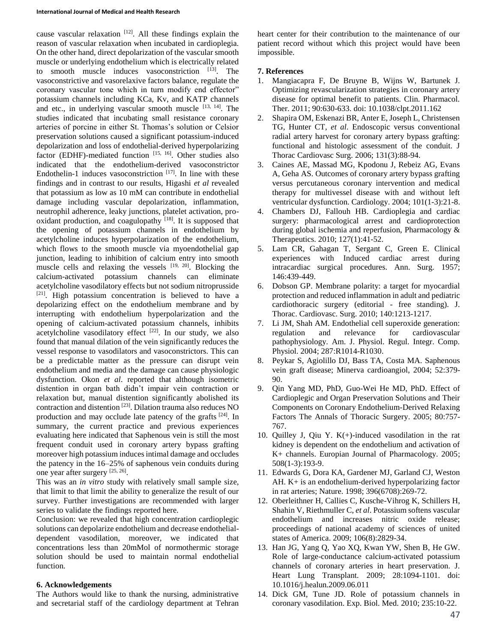cause vascular relaxation [12]. All these findings explain the reason of vascular relaxation when incubated in cardioplegia. On the other hand, direct depolarization of the vascular smooth muscle or underlying endothelium which is electrically related to smooth muscle induces vasoconstriction [13]. The vasoconstrictive and vasorelaxive factors balance, regulate the coronary vascular tone which in turn modify end effector" potassium channels including KCa, Kv, and KATP channels and etc., in underlying vascular smooth muscle [13, 14]. The studies indicated that incubating small resistance coronary arteries of porcine in either St. Thomas's solution or Celsior preservation solutions caused a significant potassium-induced depolarization and loss of endothelial-derived hyperpolarizing factor (EDHF)-mediated function [15, 16]. Other studies also indicated that the endothelium-derived vasoconstrictor Endothelin-1 induces vasoconstriction  $[17]$ . In line with these findings and in contrast to our results, Higashi *et al* revealed that potassium as low as 10 mM can contribute in endothelial damage including vascular depolarization, inflammation, neutrophil adherence, leaky junctions, platelet activation, prooxidant production, and coagulopathy  $[18]$ . It is supposed that the opening of potassium channels in endothelium by acetylcholine induces hyperpolarization of the endothelium, which flows to the smooth muscle via myoendothelial gap junction, leading to inhibition of calcium entry into smooth muscle cells and relaxing the vessels  $[19, 20]$ . Blocking the calcium-activated potassium channels can eliminate acetylcholine vasodilatory effects but not sodium nitroprusside  $[21]$ . High potassium concentration is believed to have a depolarizing effect on the endothelium membrane and by interrupting with endothelium hyperpolarization and the opening of calcium-activated potassium channels, inhibits acetylcholine vasodilatory effect  $[22]$ . In our study, we also found that manual dilation of the vein significantly reduces the vessel response to vasodilators and vasoconstrictors. This can be a predictable matter as the pressure can disrupt vein endothelium and media and the damage can cause physiologic dysfunction. Okon *et al*. reported that although isometric distention in organ bath didn't impair vein contraction or relaxation but, manual distention significantly abolished its contraction and distention [23] . Dilation trauma also reduces NO production and may occlude late patency of the grafts <sup>[24]</sup>. In summary, the current practice and previous experiences evaluating here indicated that Saphenous vein is still the most frequent conduit used in coronary artery bypass grafting moreover high potassium induces intimal damage and occludes the patency in the 16–25% of saphenous vein conduits during one year after surgery [25, 26].

This was an *in vitro* study with relatively small sample size, that limit to that limit the ability to generalize the result of our survey. Further investigations are recommended with larger series to validate the findings reported here.

Conclusion: we revealed that high concentration cardioplegic solutions can depolarize endothelium and decrease endothelialdependent vasodilation, moreover, we indicated that concentrations less than 20mMol of normothermic storage solution should be used to maintain normal endothelial function.

#### **6. Acknowledgements**

The Authors would like to thank the nursing, administrative and secretarial staff of the cardiology department at Tehran heart center for their contribution to the maintenance of our patient record without which this project would have been impossible.

## **7. References**

- 1. Mangiacapra F, De Bruyne B, Wijns W, Bartunek J. Optimizing revascularization strategies in coronary artery disease for optimal benefit to patients. Clin. Pharmacol. Ther. 2011; 90:630-633. doi: 10.1038/clpt.2011.162
- 2. Shapira OM, Eskenazi BR, Anter E, Joseph L, Christensen TG, Hunter CT, *et al*. Endoscopic versus conventional radial artery harvest for coronary artery bypass grafting: functional and histologic assessment of the conduit. J Thorac Cardiovasc Surg. 2006; 131(3):88-94.
- 3. Caines AE, Massad MG, Kpodonu J, Rebeiz AG, Evans A, Geha AS. Outcomes of coronary artery bypass grafting versus percutaneous coronary intervention and medical therapy for multivessel disease with and without left ventricular dysfunction. Cardiology. 2004; 101(1-3):21-8.
- 4. Chambers DJ, Fallouh HB. Cardioplegia and cardiac surgery: pharmacological arrest and cardioprotection during global ischemia and reperfusion, Pharmacology & Therapeutics. 2010; 127(1):41-52.
- 5. Lam CR, Gahagan T, Sergant C, Green E. Clinical experiences with Induced cardiac arrest during intracardiac surgical procedures. Ann. Surg. 1957; 146:439-449.
- 6. Dobson GP. Membrane polarity: a target for myocardial protection and reduced inflammation in adult and pediatric cardiothoracic surgery (editorial - free standing). J. Thorac. Cardiovasc. Surg. 2010; 140:1213-1217.
- 7. Li JM, Shah AM. Endothelial cell superoxide generation: regulation and relevance for cardiovascular pathophysiology. Am. J. Physiol. Regul. Integr. Comp. Physiol. 2004; 287:R1014-R1030.
- 8. Peykar S, Agiolillo DJ, Bass TA, Costa MA. Saphenous vein graft disease; Minerva cardioangiol, 2004; 52:379- 90.
- 9. Qin Yang MD, PhD, Guo-Wei He MD, PhD. Effect of Cardioplegic and Organ Preservation Solutions and Their Components on Coronary Endothelium-Derived Relaxing Factors The Annals of Thoracic Surgery. 2005; 80:757- 767.
- 10. Quilley J, Qiu Y.  $K(+)$ -induced vasodilation in the rat kidney is dependent on the endothelium and activation of K+ channels. Europian Journal of Pharmacology. 2005; 508(1-3):193-9.
- 11. Edwards G, Dora KA, Gardener MJ, Garland CJ, Weston AH. K+ is an endothelium-derived hyperpolarizing factor in rat arteries; Nature. 1998; 396(6708):269-72.
- 12. Oberleithner H, Callies C, Kusche-Vihrog K, Schillers H, Shahin V, Riethmuller C, *et al*. Potassium softens vascular endothelium and increases nitric oxide release; proceedings of national academy of sciences of united states of America. 2009; 106(8):2829-34.
- 13. Han JG, Yang Q, Yao XQ, Kwan YW, Shen B, He GW. Role of large-conductance calcium-activated potassium channels of coronary arteries in heart preservation. J. Heart Lung Transplant. 2009; 28:1094-1101. doi: 10.1016/j.healun.2009.06.011
- 14. Dick GM, Tune JD. Role of potassium channels in coronary vasodilation. Exp. Biol. Med. 2010; 235:10-22.